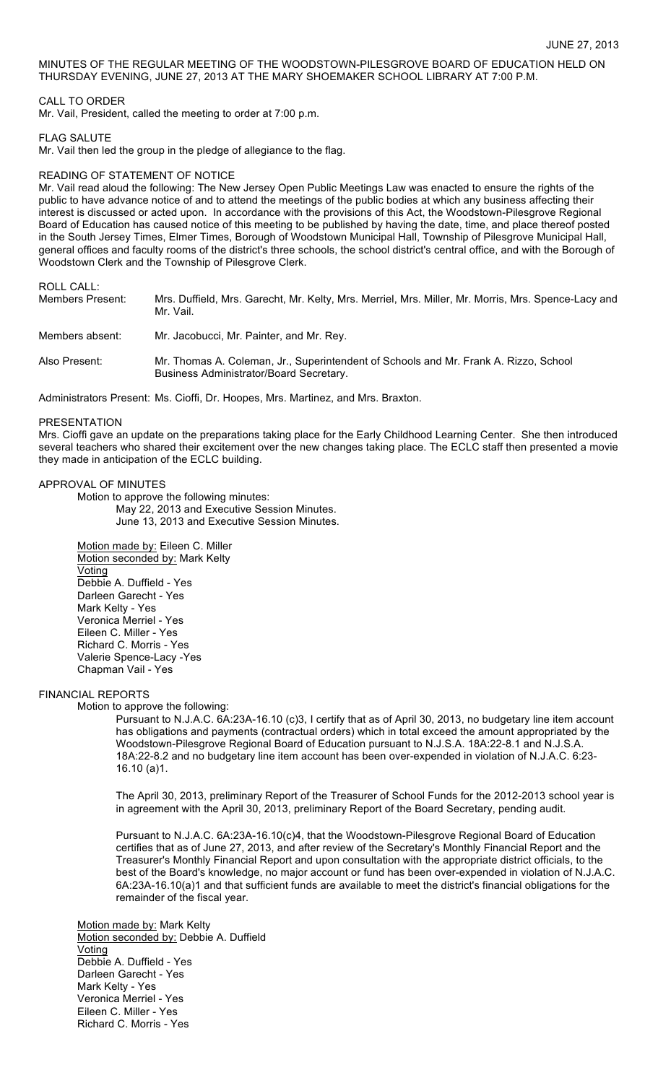MINUTES OF THE REGULAR MEETING OF THE WOODSTOWN-PILESGROVE BOARD OF EDUCATION HELD ON THURSDAY EVENING, JUNE 27, 2013 AT THE MARY SHOEMAKER SCHOOL LIBRARY AT 7:00 P.M.

# CALL TO ORDER

Mr. Vail, President, called the meeting to order at 7:00 p.m.

### FLAG SALUTE

Mr. Vail then led the group in the pledge of allegiance to the flag.

# READING OF STATEMENT OF NOTICE

Mr. Vail read aloud the following: The New Jersey Open Public Meetings Law was enacted to ensure the rights of the public to have advance notice of and to attend the meetings of the public bodies at which any business affecting their interest is discussed or acted upon. In accordance with the provisions of this Act, the Woodstown-Pilesgrove Regional Board of Education has caused notice of this meeting to be published by having the date, time, and place thereof posted in the South Jersey Times, Elmer Times, Borough of Woodstown Municipal Hall, Township of Pilesgrove Municipal Hall, general offices and faculty rooms of the district's three schools, the school district's central office, and with the Borough of Woodstown Clerk and the Township of Pilesgrove Clerk.

# ROLL CALL:

| Members Present: | Mrs. Duffield, Mrs. Garecht, Mr. Kelty, Mrs. Merriel, Mrs. Miller, Mr. Morris, Mrs. Spence-Lacy and<br>Mr. Vail.                |
|------------------|---------------------------------------------------------------------------------------------------------------------------------|
| Members absent:  | Mr. Jacobucci, Mr. Painter, and Mr. Rey.                                                                                        |
| Also Present:    | Mr. Thomas A. Coleman, Jr., Superintendent of Schools and Mr. Frank A. Rizzo, School<br>Business Administrator/Board Secretary. |

Administrators Present: Ms. Cioffi, Dr. Hoopes, Mrs. Martinez, and Mrs. Braxton.

### PRESENTATION

Mrs. Cioffi gave an update on the preparations taking place for the Early Childhood Learning Center. She then introduced several teachers who shared their excitement over the new changes taking place. The ECLC staff then presented a movie they made in anticipation of the ECLC building.

# APPROVAL OF MINUTES

Motion to approve the following minutes: May 22, 2013 and Executive Session Minutes. June 13, 2013 and Executive Session Minutes.

Motion made by: Eileen C. Miller Motion seconded by: Mark Kelty Voting Debbie A. Duffield - Yes Darleen Garecht - Yes Mark Kelty - Yes Veronica Merriel - Yes Eileen C. Miller - Yes Richard C. Morris - Yes Valerie Spence-Lacy -Yes Chapman Vail - Yes

# FINANCIAL REPORTS

Motion to approve the following:

Pursuant to N.J.A.C. 6A:23A-16.10 (c)3, I certify that as of April 30, 2013, no budgetary line item account has obligations and payments (contractual orders) which in total exceed the amount appropriated by the Woodstown-Pilesgrove Regional Board of Education pursuant to N.J.S.A. 18A:22-8.1 and N.J.S.A. 18A:22-8.2 and no budgetary line item account has been over-expended in violation of N.J.A.C. 6:23- 16.10 (a)1.

The April 30, 2013, preliminary Report of the Treasurer of School Funds for the 2012-2013 school year is in agreement with the April 30, 2013, preliminary Report of the Board Secretary, pending audit.

Pursuant to N.J.A.C. 6A:23A-16.10(c)4, that the Woodstown-Pilesgrove Regional Board of Education certifies that as of June 27, 2013, and after review of the Secretary's Monthly Financial Report and the Treasurer's Monthly Financial Report and upon consultation with the appropriate district officials, to the best of the Board's knowledge, no major account or fund has been over-expended in violation of N.J.A.C. 6A:23A-16.10(a)1 and that sufficient funds are available to meet the district's financial obligations for the remainder of the fiscal year.

Motion made by: Mark Kelty Motion seconded by: Debbie A. Duffield Voting Debbie A. Duffield - Yes Darleen Garecht - Yes Mark Kelty - Yes Veronica Merriel - Yes Eileen C. Miller - Yes Richard C. Morris - Yes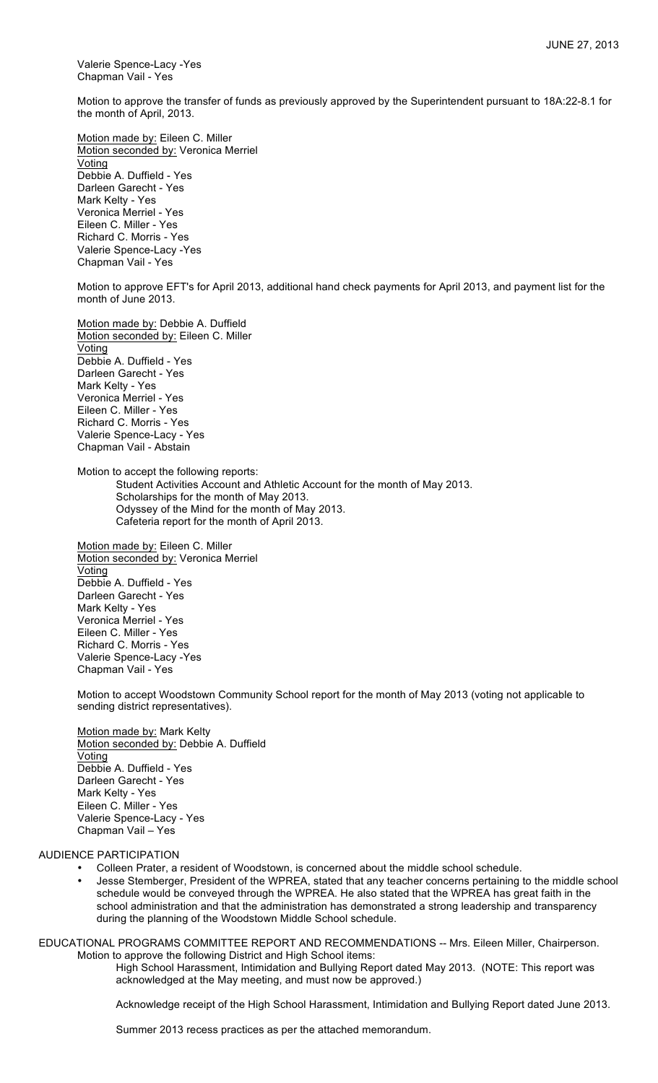Valerie Spence-Lacy -Yes Chapman Vail - Yes

Motion to approve the transfer of funds as previously approved by the Superintendent pursuant to 18A:22-8.1 for the month of April, 2013.

Motion made by: Eileen C. Miller Motion seconded by: Veronica Merriel Voting Debbie A. Duffield - Yes Darleen Garecht - Yes Mark Kelty - Yes Veronica Merriel - Yes Eileen C. Miller - Yes Richard C. Morris - Yes Valerie Spence-Lacy -Yes Chapman Vail - Yes

Motion to approve EFT's for April 2013, additional hand check payments for April 2013, and payment list for the month of June 2013.

Motion made by: Debbie A. Duffield Motion seconded by: Eileen C. Miller **Voting** Debbie A. Duffield - Yes Darleen Garecht - Yes Mark Kelty - Yes Veronica Merriel - Yes Eileen C. Miller - Yes Richard C. Morris - Yes Valerie Spence-Lacy - Yes Chapman Vail - Abstain

Motion to accept the following reports:

Student Activities Account and Athletic Account for the month of May 2013. Scholarships for the month of May 2013. Odyssey of the Mind for the month of May 2013. Cafeteria report for the month of April 2013.

Motion made by: Eileen C. Miller Motion seconded by: Veronica Merriel Voting Debbie A. Duffield - Yes Darleen Garecht - Yes Mark Kelty - Yes Veronica Merriel - Yes Eileen C. Miller - Yes Richard C. Morris - Yes Valerie Spence-Lacy -Yes Chapman Vail - Yes

Motion to accept Woodstown Community School report for the month of May 2013 (voting not applicable to sending district representatives).

Motion made by: Mark Kelty Motion seconded by: Debbie A. Duffield Voting Debbie A. Duffield - Yes Darleen Garecht - Yes Mark Kelty - Yes Eileen C. Miller - Yes Valerie Spence-Lacy - Yes Chapman Vail – Yes

#### AUDIENCE PARTICIPATION

- Colleen Prater, a resident of Woodstown, is concerned about the middle school schedule.
- Jesse Stemberger, President of the WPREA, stated that any teacher concerns pertaining to the middle school schedule would be conveyed through the WPREA. He also stated that the WPREA has great faith in the school administration and that the administration has demonstrated a strong leadership and transparency during the planning of the Woodstown Middle School schedule.

EDUCATIONAL PROGRAMS COMMITTEE REPORT AND RECOMMENDATIONS -- Mrs. Eileen Miller, Chairperson. Motion to approve the following District and High School items:

High School Harassment, Intimidation and Bullying Report dated May 2013. (NOTE: This report was acknowledged at the May meeting, and must now be approved.)

Acknowledge receipt of the High School Harassment, Intimidation and Bullying Report dated June 2013.

Summer 2013 recess practices as per the attached memorandum.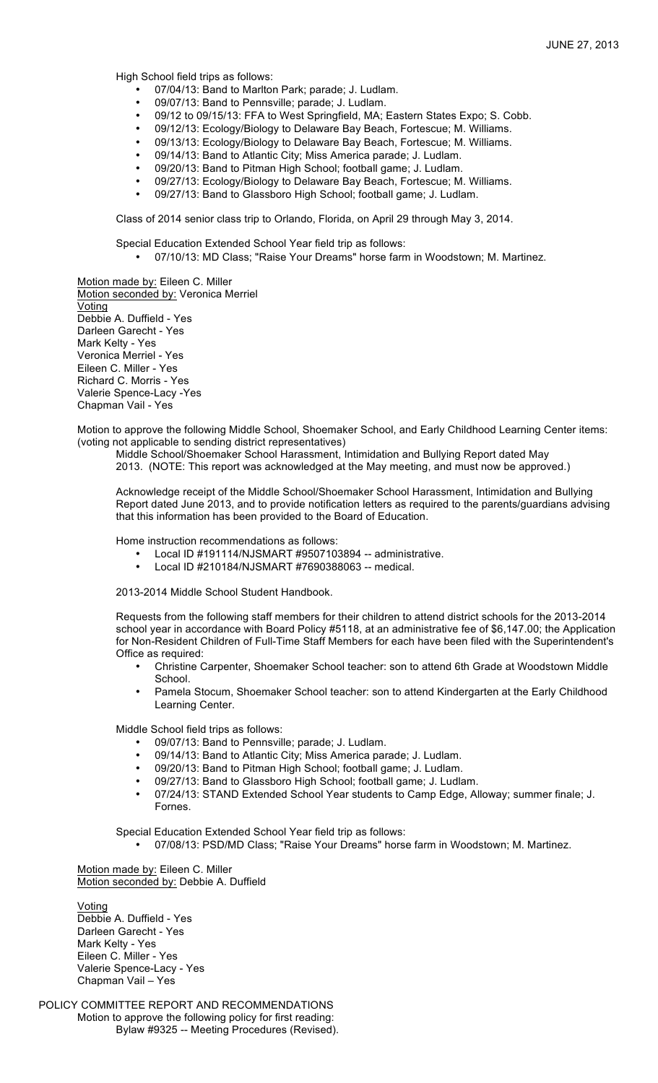High School field trips as follows:

- 07/04/13: Band to Marlton Park; parade; J. Ludlam.<br>• 09/07/13: Band to Pennsville; parade: L. Ludlam
- 09/07/13: Band to Pennsville; parade; J. Ludlam.<br>• 09/12 to 09/15/13: FEA to West Springfield MA: I
- 09/12 to 09/15/13: FFA to West Springfield, MA; Eastern States Expo; S. Cobb.
- 09/12/13: Ecology/Biology to Delaware Bay Beach, Fortescue; M. Williams.
- 09/13/13: Ecology/Biology to Delaware Bay Beach, Fortescue; M. Williams.
- 09/14/13: Band to Atlantic City; Miss America parade; J. Ludlam.
- 09/20/13: Band to Pitman High School; football game; J. Ludlam.
- 09/27/13: Ecology/Biology to Delaware Bay Beach, Fortescue; M. Williams.
- 09/27/13: Band to Glassboro High School; football game; J. Ludlam.

Class of 2014 senior class trip to Orlando, Florida, on April 29 through May 3, 2014.

Special Education Extended School Year field trip as follows:

• 07/10/13: MD Class; "Raise Your Dreams" horse farm in Woodstown; M. Martinez.

Motion made by: Eileen C. Miller Motion seconded by: Veronica Merriel **Voting** Debbie A. Duffield - Yes Darleen Garecht - Yes Mark Kelty - Yes Veronica Merriel - Yes Eileen C. Miller - Yes Richard C. Morris - Yes Valerie Spence-Lacy -Yes Chapman Vail - Yes

Motion to approve the following Middle School, Shoemaker School, and Early Childhood Learning Center items: (voting not applicable to sending district representatives)

Middle School/Shoemaker School Harassment, Intimidation and Bullying Report dated May

2013. (NOTE: This report was acknowledged at the May meeting, and must now be approved.)

Acknowledge receipt of the Middle School/Shoemaker School Harassment, Intimidation and Bullying Report dated June 2013, and to provide notification letters as required to the parents/guardians advising that this information has been provided to the Board of Education.

Home instruction recommendations as follows:

- Local ID #191114/NJSMART #9507103894 -- administrative.
- Local ID #210184/NJSMART #7690388063 -- medical.

2013-2014 Middle School Student Handbook.

Requests from the following staff members for their children to attend district schools for the 2013-2014 school year in accordance with Board Policy #5118, at an administrative fee of \$6,147.00; the Application for Non-Resident Children of Full-Time Staff Members for each have been filed with the Superintendent's Office as required:

- Christine Carpenter, Shoemaker School teacher: son to attend 6th Grade at Woodstown Middle **School.**
- Pamela Stocum, Shoemaker School teacher: son to attend Kindergarten at the Early Childhood Learning Center.

Middle School field trips as follows:

- 09/07/13: Band to Pennsville; parade; J. Ludlam.
- 09/14/13: Band to Atlantic City; Miss America parade; J. Ludlam.<br>• 09/20/13: Band to Pitman High School: football game: L. Ludlam.
- 09/20/13: Band to Pitman High School; football game; J. Ludlam.
- 09/27/13: Band to Glassboro High School; football game; J. Ludlam.
- 07/24/13: STAND Extended School Year students to Camp Edge, Alloway; summer finale; J. Fornes.

Special Education Extended School Year field trip as follows:

• 07/08/13: PSD/MD Class; "Raise Your Dreams" horse farm in Woodstown; M. Martinez.

Motion made by: Eileen C. Miller Motion seconded by: Debbie A. Duffield

Voting Debbie A. Duffield - Yes Darleen Garecht - Yes Mark Kelty - Yes Eileen C. Miller - Yes Valerie Spence-Lacy - Yes Chapman Vail – Yes

POLICY COMMITTEE REPORT AND RECOMMENDATIONS Motion to approve the following policy for first reading: Bylaw #9325 -- Meeting Procedures (Revised).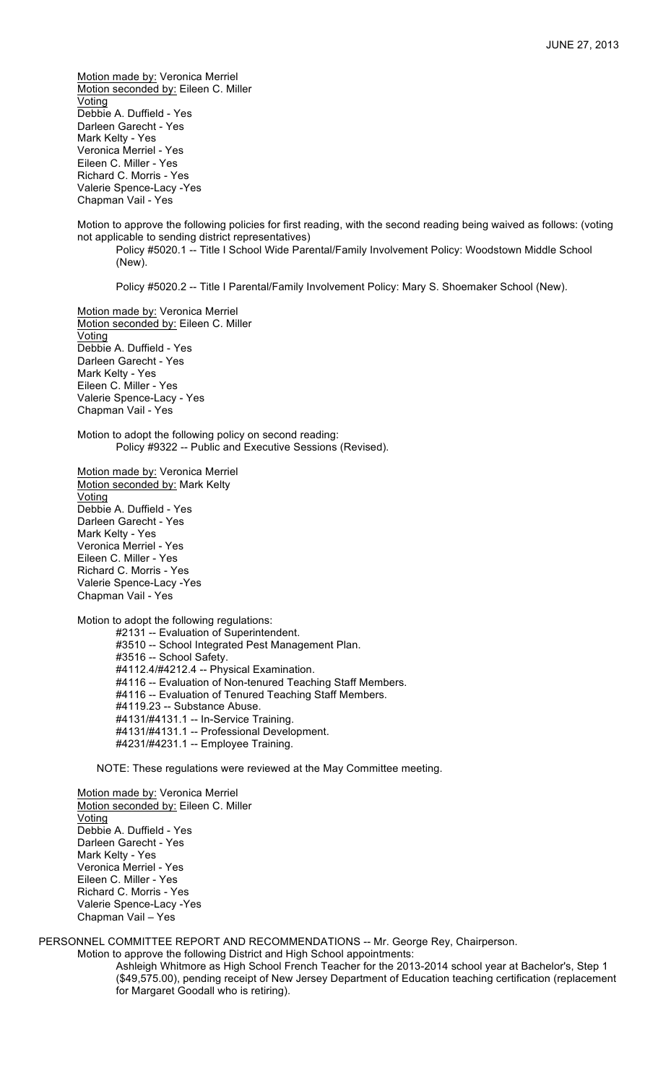Motion made by: Veronica Merriel Motion seconded by: Eileen C. Miller Voting Debbie A. Duffield - Yes Darleen Garecht - Yes Mark Kelty - Yes Veronica Merriel - Yes Eileen C. Miller - Yes Richard C. Morris - Yes Valerie Spence-Lacy -Yes Chapman Vail - Yes

Motion to approve the following policies for first reading, with the second reading being waived as follows: (voting not applicable to sending district representatives)

Policy #5020.1 -- Title I School Wide Parental/Family Involvement Policy: Woodstown Middle School (New).

Policy #5020.2 -- Title I Parental/Family Involvement Policy: Mary S. Shoemaker School (New).

Motion made by: Veronica Merriel Motion seconded by: Eileen C. Miller Voting Debbie A. Duffield - Yes Darleen Garecht - Yes Mark Kelty - Yes Eileen C. Miller - Yes Valerie Spence-Lacy - Yes Chapman Vail - Yes

Motion to adopt the following policy on second reading: Policy #9322 -- Public and Executive Sessions (Revised).

Motion made by: Veronica Merriel Motion seconded by: Mark Kelty Voting Debbie A. Duffield - Yes Darleen Garecht - Yes Mark Kelty - Yes Veronica Merriel - Yes Eileen C. Miller - Yes Richard C. Morris - Yes Valerie Spence-Lacy -Yes Chapman Vail - Yes

Motion to adopt the following regulations:

#2131 -- Evaluation of Superintendent. #3510 -- School Integrated Pest Management Plan. #3516 -- School Safety. #4112.4/#4212.4 -- Physical Examination. #4116 -- Evaluation of Non-tenured Teaching Staff Members. #4116 -- Evaluation of Tenured Teaching Staff Members. #4119.23 -- Substance Abuse. #4131/#4131.1 -- In-Service Training. #4131/#4131.1 -- Professional Development. #4231/#4231.1 -- Employee Training.

NOTE: These regulations were reviewed at the May Committee meeting.

Motion made by: Veronica Merriel Motion seconded by: Eileen C. Miller Voting Debbie A. Duffield - Yes Darleen Garecht - Yes Mark Kelty - Yes Veronica Merriel - Yes Eileen C. Miller - Yes Richard C. Morris - Yes Valerie Spence-Lacy -Yes Chapman Vail – Yes

PERSONNEL COMMITTEE REPORT AND RECOMMENDATIONS -- Mr. George Rey, Chairperson.

Motion to approve the following District and High School appointments:

Ashleigh Whitmore as High School French Teacher for the 2013-2014 school year at Bachelor's, Step 1 (\$49,575.00), pending receipt of New Jersey Department of Education teaching certification (replacement for Margaret Goodall who is retiring).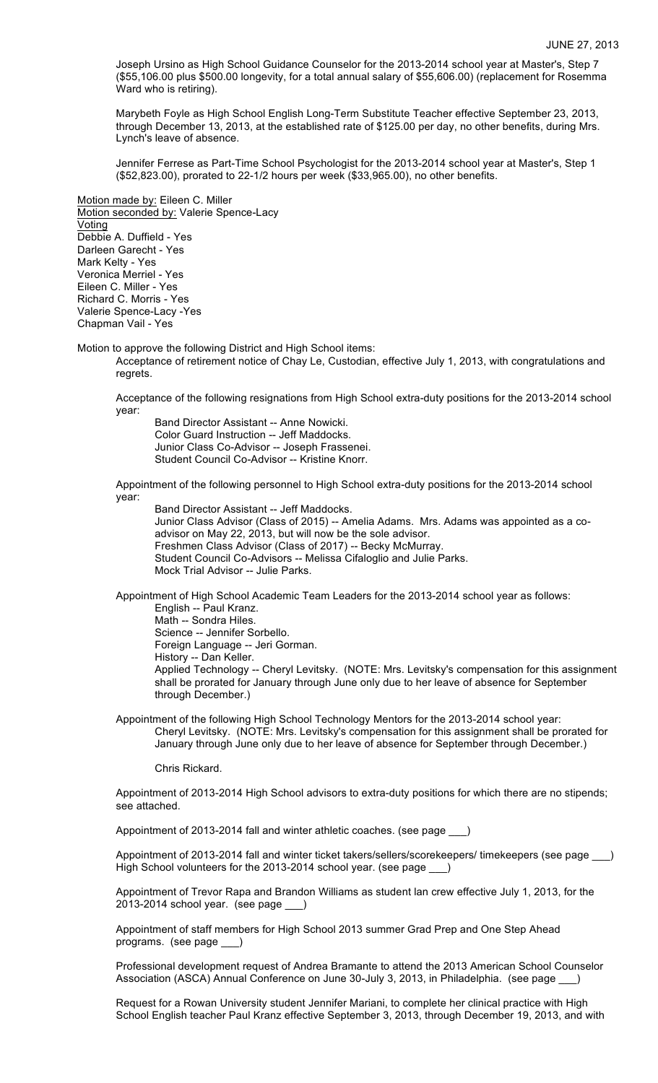Joseph Ursino as High School Guidance Counselor for the 2013-2014 school year at Master's, Step 7 (\$55,106.00 plus \$500.00 longevity, for a total annual salary of \$55,606.00) (replacement for Rosemma Ward who is retiring).

Marybeth Foyle as High School English Long-Term Substitute Teacher effective September 23, 2013, through December 13, 2013, at the established rate of \$125.00 per day, no other benefits, during Mrs. Lynch's leave of absence.

Jennifer Ferrese as Part-Time School Psychologist for the 2013-2014 school year at Master's, Step 1 (\$52,823.00), prorated to 22-1/2 hours per week (\$33,965.00), no other benefits.

Motion made by: Eileen C. Miller Motion seconded by: Valerie Spence-Lacy Voting Debbie A. Duffield - Yes Darleen Garecht - Yes Mark Kelty - Yes Veronica Merriel - Yes Eileen C. Miller - Yes Richard C. Morris - Yes Valerie Spence-Lacy -Yes Chapman Vail - Yes

Motion to approve the following District and High School items:

Acceptance of retirement notice of Chay Le, Custodian, effective July 1, 2013, with congratulations and regrets.

Acceptance of the following resignations from High School extra-duty positions for the 2013-2014 school year:

Band Director Assistant -- Anne Nowicki. Color Guard Instruction -- Jeff Maddocks. Junior Class Co-Advisor -- Joseph Frassenei. Student Council Co-Advisor -- Kristine Knorr.

Appointment of the following personnel to High School extra-duty positions for the 2013-2014 school year:

Band Director Assistant -- Jeff Maddocks.

Junior Class Advisor (Class of 2015) -- Amelia Adams. Mrs. Adams was appointed as a coadvisor on May 22, 2013, but will now be the sole advisor. Freshmen Class Advisor (Class of 2017) -- Becky McMurray. Student Council Co-Advisors -- Melissa Cifaloglio and Julie Parks. Mock Trial Advisor -- Julie Parks.

Appointment of High School Academic Team Leaders for the 2013-2014 school year as follows: English -- Paul Kranz. Math -- Sondra Hiles.

Science -- Jennifer Sorbello.

Foreign Language -- Jeri Gorman.

History -- Dan Keller.

Applied Technology -- Cheryl Levitsky. (NOTE: Mrs. Levitsky's compensation for this assignment shall be prorated for January through June only due to her leave of absence for September through December.)

Appointment of the following High School Technology Mentors for the 2013-2014 school year: Cheryl Levitsky. (NOTE: Mrs. Levitsky's compensation for this assignment shall be prorated for January through June only due to her leave of absence for September through December.)

Chris Rickard.

Appointment of 2013-2014 High School advisors to extra-duty positions for which there are no stipends; see attached.

Appointment of 2013-2014 fall and winter athletic coaches. (see page \_\_\_)

Appointment of 2013-2014 fall and winter ticket takers/sellers/scorekeepers/ timekeepers (see page \_\_\_) High School volunteers for the 2013-2014 school year. (see page \_\_\_)

Appointment of Trevor Rapa and Brandon Williams as student lan crew effective July 1, 2013, for the 2013-2014 school year. (see page \_\_\_)

Appointment of staff members for High School 2013 summer Grad Prep and One Step Ahead programs. (see page \_\_\_)

Professional development request of Andrea Bramante to attend the 2013 American School Counselor Association (ASCA) Annual Conference on June 30-July 3, 2013, in Philadelphia. (see page

Request for a Rowan University student Jennifer Mariani, to complete her clinical practice with High School English teacher Paul Kranz effective September 3, 2013, through December 19, 2013, and with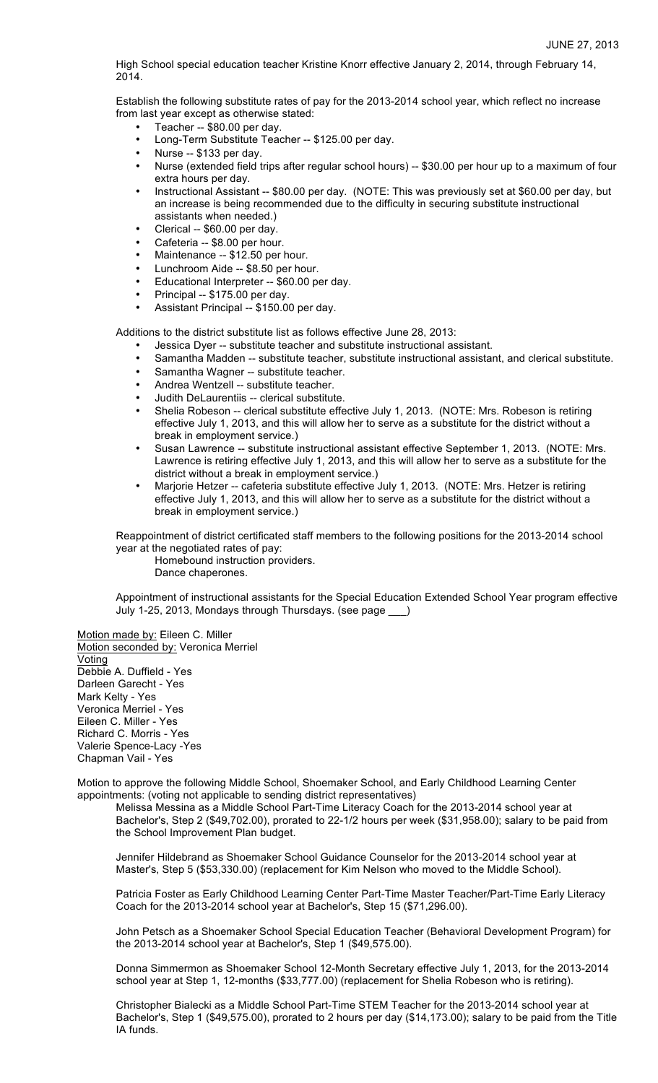High School special education teacher Kristine Knorr effective January 2, 2014, through February 14, 2014.

Establish the following substitute rates of pay for the 2013-2014 school year, which reflect no increase from last year except as otherwise stated:

- Teacher -- \$80.00 per day.
- Long-Term Substitute Teacher -- \$125.00 per day.
- Nurse -- \$133 per day.
- Nurse (extended field trips after regular school hours) -- \$30.00 per hour up to a maximum of four extra hours per day.
- Instructional Assistant -- \$80.00 per day. (NOTE: This was previously set at \$60.00 per day, but an increase is being recommended due to the difficulty in securing substitute instructional assistants when needed.)
- Clerical -- \$60.00 per day.
- Cafeteria -- \$8.00 per hour.
- Maintenance -- \$12.50 per hour.
- Lunchroom Aide -- \$8.50 per hour.
- Educational Interpreter -- \$60.00 per day.
- Principal -- \$175.00 per day.
- Assistant Principal -- \$150.00 per day.

Additions to the district substitute list as follows effective June 28, 2013:

- Jessica Dyer -- substitute teacher and substitute instructional assistant.
- Samantha Madden -- substitute teacher, substitute instructional assistant, and clerical substitute.
- Samantha Wagner -- substitute teacher.
- Andrea Wentzell -- substitute teacher.
- Judith DeLaurentiis -- clerical substitute.
- Shelia Robeson -- clerical substitute effective July 1, 2013. (NOTE: Mrs. Robeson is retiring effective July 1, 2013, and this will allow her to serve as a substitute for the district without a break in employment service.)
- Susan Lawrence -- substitute instructional assistant effective September 1, 2013. (NOTE: Mrs. Lawrence is retiring effective July 1, 2013, and this will allow her to serve as a substitute for the district without a break in employment service.)
- Marjorie Hetzer -- cafeteria substitute effective July 1, 2013. (NOTE: Mrs. Hetzer is retiring effective July 1, 2013, and this will allow her to serve as a substitute for the district without a break in employment service.)

Reappointment of district certificated staff members to the following positions for the 2013-2014 school year at the negotiated rates of pay:

Homebound instruction providers. Dance chaperones.

Appointment of instructional assistants for the Special Education Extended School Year program effective July 1-25, 2013, Mondays through Thursdays. (see page \_\_\_)

Motion made by: Eileen C. Miller Motion seconded by: Veronica Merriel **Voting** Debbie A. Duffield - Yes Darleen Garecht - Yes Mark Kelty - Yes Veronica Merriel - Yes Eileen C. Miller - Yes Richard C. Morris - Yes Valerie Spence-Lacy -Yes Chapman Vail - Yes

Motion to approve the following Middle School, Shoemaker School, and Early Childhood Learning Center appointments: (voting not applicable to sending district representatives)

Melissa Messina as a Middle School Part-Time Literacy Coach for the 2013-2014 school year at Bachelor's, Step 2 (\$49,702.00), prorated to 22-1/2 hours per week (\$31,958.00); salary to be paid from the School Improvement Plan budget.

Jennifer Hildebrand as Shoemaker School Guidance Counselor for the 2013-2014 school year at Master's, Step 5 (\$53,330.00) (replacement for Kim Nelson who moved to the Middle School).

Patricia Foster as Early Childhood Learning Center Part-Time Master Teacher/Part-Time Early Literacy Coach for the 2013-2014 school year at Bachelor's, Step 15 (\$71,296.00).

John Petsch as a Shoemaker School Special Education Teacher (Behavioral Development Program) for the 2013-2014 school year at Bachelor's, Step 1 (\$49,575.00).

Donna Simmermon as Shoemaker School 12-Month Secretary effective July 1, 2013, for the 2013-2014 school year at Step 1, 12-months (\$33,777.00) (replacement for Shelia Robeson who is retiring).

Christopher Bialecki as a Middle School Part-Time STEM Teacher for the 2013-2014 school year at Bachelor's, Step 1 (\$49,575.00), prorated to 2 hours per day (\$14,173.00); salary to be paid from the Title IA funds.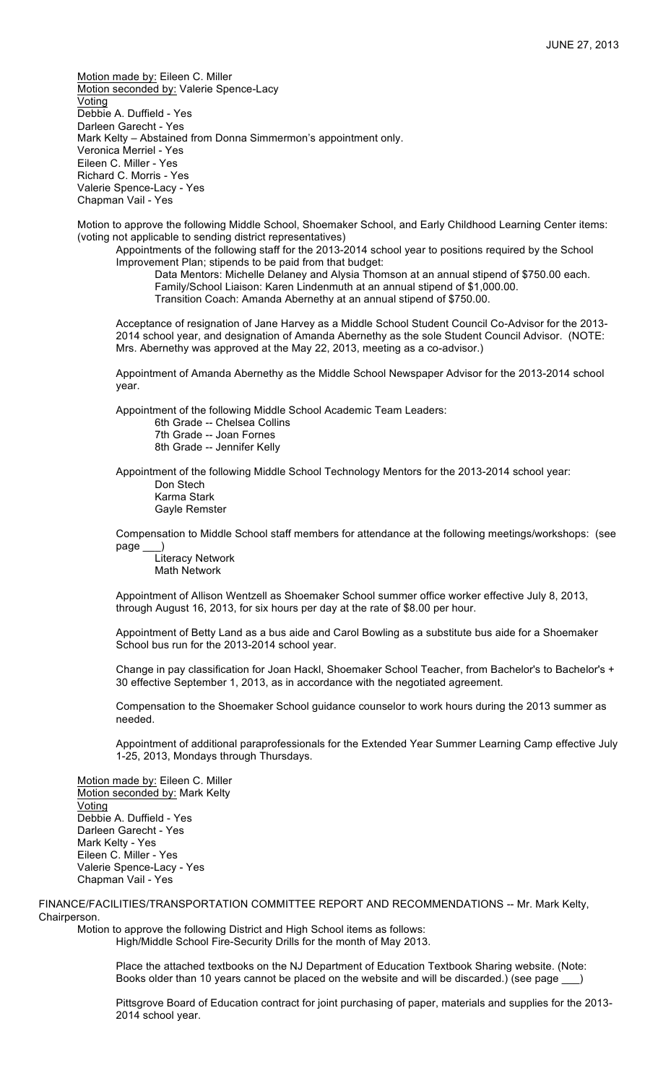Motion made by: Eileen C. Miller Motion seconded by: Valerie Spence-Lacy Voting Debbie A. Duffield - Yes Darleen Garecht - Yes Mark Kelty – Abstained from Donna Simmermon's appointment only. Veronica Merriel - Yes Eileen C. Miller - Yes Richard C. Morris - Yes Valerie Spence-Lacy - Yes Chapman Vail - Yes

Motion to approve the following Middle School, Shoemaker School, and Early Childhood Learning Center items: (voting not applicable to sending district representatives)

Appointments of the following staff for the 2013-2014 school year to positions required by the School Improvement Plan; stipends to be paid from that budget:

Data Mentors: Michelle Delaney and Alysia Thomson at an annual stipend of \$750.00 each. Family/School Liaison: Karen Lindenmuth at an annual stipend of \$1,000.00. Transition Coach: Amanda Abernethy at an annual stipend of \$750.00.

Acceptance of resignation of Jane Harvey as a Middle School Student Council Co-Advisor for the 2013- 2014 school year, and designation of Amanda Abernethy as the sole Student Council Advisor. (NOTE: Mrs. Abernethy was approved at the May 22, 2013, meeting as a co-advisor.)

Appointment of Amanda Abernethy as the Middle School Newspaper Advisor for the 2013-2014 school year.

Appointment of the following Middle School Academic Team Leaders:

6th Grade -- Chelsea Collins 7th Grade -- Joan Fornes

8th Grade -- Jennifer Kelly

Appointment of the following Middle School Technology Mentors for the 2013-2014 school year:

Don Stech Karma Stark Gayle Remster

Compensation to Middle School staff members for attendance at the following meetings/workshops: (see page

Literacy Network Math Network

Appointment of Allison Wentzell as Shoemaker School summer office worker effective July 8, 2013, through August 16, 2013, for six hours per day at the rate of \$8.00 per hour.

Appointment of Betty Land as a bus aide and Carol Bowling as a substitute bus aide for a Shoemaker School bus run for the 2013-2014 school year.

Change in pay classification for Joan Hackl, Shoemaker School Teacher, from Bachelor's to Bachelor's + 30 effective September 1, 2013, as in accordance with the negotiated agreement.

Compensation to the Shoemaker School guidance counselor to work hours during the 2013 summer as needed.

Appointment of additional paraprofessionals for the Extended Year Summer Learning Camp effective July 1-25, 2013, Mondays through Thursdays.

Motion made by: Eileen C. Miller Motion seconded by: Mark Kelty Voting Debbie A. Duffield - Yes Darleen Garecht - Yes Mark Kelty - Yes Eileen C. Miller - Yes Valerie Spence-Lacy - Yes Chapman Vail - Yes

FINANCE/FACILITIES/TRANSPORTATION COMMITTEE REPORT AND RECOMMENDATIONS -- Mr. Mark Kelty, Chairperson.

Motion to approve the following District and High School items as follows: High/Middle School Fire-Security Drills for the month of May 2013.

> Place the attached textbooks on the NJ Department of Education Textbook Sharing website. (Note: Books older than 10 years cannot be placed on the website and will be discarded.) (see page

Pittsgrove Board of Education contract for joint purchasing of paper, materials and supplies for the 2013- 2014 school year.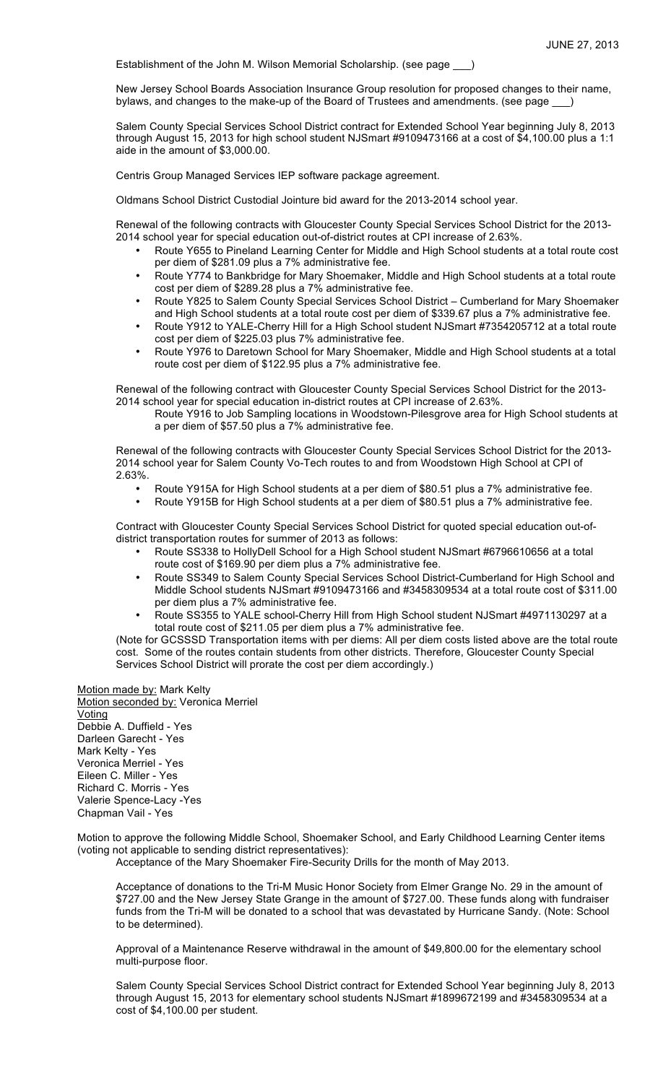Establishment of the John M. Wilson Memorial Scholarship. (see page )

New Jersey School Boards Association Insurance Group resolution for proposed changes to their name, bylaws, and changes to the make-up of the Board of Trustees and amendments. (see page \_\_\_)

Salem County Special Services School District contract for Extended School Year beginning July 8, 2013 through August 15, 2013 for high school student NJSmart #9109473166 at a cost of \$4,100.00 plus a 1:1 aide in the amount of \$3,000.00.

Centris Group Managed Services IEP software package agreement.

Oldmans School District Custodial Jointure bid award for the 2013-2014 school year.

Renewal of the following contracts with Gloucester County Special Services School District for the 2013- 2014 school year for special education out-of-district routes at CPI increase of 2.63%.

- Route Y655 to Pineland Learning Center for Middle and High School students at a total route cost per diem of \$281.09 plus a 7% administrative fee.
- Route Y774 to Bankbridge for Mary Shoemaker, Middle and High School students at a total route cost per diem of \$289.28 plus a 7% administrative fee.
- Route Y825 to Salem County Special Services School District Cumberland for Mary Shoemaker and High School students at a total route cost per diem of \$339.67 plus a 7% administrative fee.
- Route Y912 to YALE-Cherry Hill for a High School student NJSmart #7354205712 at a total route cost per diem of \$225.03 plus 7% administrative fee.
- Route Y976 to Daretown School for Mary Shoemaker, Middle and High School students at a total route cost per diem of \$122.95 plus a 7% administrative fee.

Renewal of the following contract with Gloucester County Special Services School District for the 2013- 2014 school year for special education in-district routes at CPI increase of 2.63%.

Route Y916 to Job Sampling locations in Woodstown-Pilesgrove area for High School students at a per diem of \$57.50 plus a 7% administrative fee.

Renewal of the following contracts with Gloucester County Special Services School District for the 2013- 2014 school year for Salem County Vo-Tech routes to and from Woodstown High School at CPI of 2.63%.

- Route Y915A for High School students at a per diem of \$80.51 plus a 7% administrative fee.
- Route Y915B for High School students at a per diem of \$80.51 plus a 7% administrative fee.

Contract with Gloucester County Special Services School District for quoted special education out-ofdistrict transportation routes for summer of 2013 as follows:

- Route SS338 to HollyDell School for a High School student NJSmart #6796610656 at a total route cost of \$169.90 per diem plus a 7% administrative fee.
- Route SS349 to Salem County Special Services School District-Cumberland for High School and Middle School students NJSmart #9109473166 and #3458309534 at a total route cost of \$311.00 per diem plus a 7% administrative fee.
- Route SS355 to YALE school-Cherry Hill from High School student NJSmart #4971130297 at a total route cost of \$211.05 per diem plus a 7% administrative fee.

(Note for GCSSSD Transportation items with per diems: All per diem costs listed above are the total route cost. Some of the routes contain students from other districts. Therefore, Gloucester County Special Services School District will prorate the cost per diem accordingly.)

Motion made by: Mark Kelty Motion seconded by: Veronica Merriel Voting Debbie A. Duffield - Yes Darleen Garecht - Yes Mark Kelty - Yes Veronica Merriel - Yes Eileen C. Miller - Yes Richard C. Morris - Yes Valerie Spence-Lacy -Yes Chapman Vail - Yes

Motion to approve the following Middle School, Shoemaker School, and Early Childhood Learning Center items (voting not applicable to sending district representatives):

Acceptance of the Mary Shoemaker Fire-Security Drills for the month of May 2013.

Acceptance of donations to the Tri-M Music Honor Society from Elmer Grange No. 29 in the amount of \$727.00 and the New Jersey State Grange in the amount of \$727.00. These funds along with fundraiser funds from the Tri-M will be donated to a school that was devastated by Hurricane Sandy. (Note: School to be determined).

Approval of a Maintenance Reserve withdrawal in the amount of \$49,800.00 for the elementary school multi-purpose floor.

Salem County Special Services School District contract for Extended School Year beginning July 8, 2013 through August 15, 2013 for elementary school students NJSmart #1899672199 and #3458309534 at a cost of \$4,100.00 per student.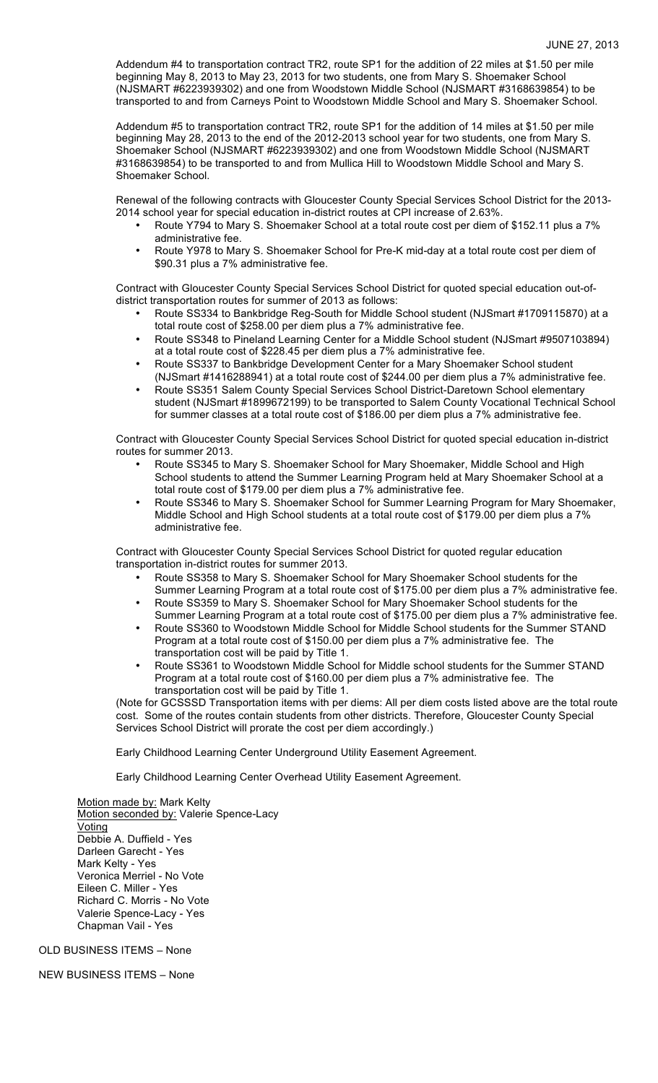Addendum #4 to transportation contract TR2, route SP1 for the addition of 22 miles at \$1.50 per mile beginning May 8, 2013 to May 23, 2013 for two students, one from Mary S. Shoemaker School (NJSMART #6223939302) and one from Woodstown Middle School (NJSMART #3168639854) to be transported to and from Carneys Point to Woodstown Middle School and Mary S. Shoemaker School.

Addendum #5 to transportation contract TR2, route SP1 for the addition of 14 miles at \$1.50 per mile beginning May 28, 2013 to the end of the 2012-2013 school year for two students, one from Mary S. Shoemaker School (NJSMART #6223939302) and one from Woodstown Middle School (NJSMART #3168639854) to be transported to and from Mullica Hill to Woodstown Middle School and Mary S. Shoemaker School.

Renewal of the following contracts with Gloucester County Special Services School District for the 2013- 2014 school year for special education in-district routes at CPI increase of 2.63%.

- Route Y794 to Mary S. Shoemaker School at a total route cost per diem of \$152.11 plus a 7% administrative fee.
- Route Y978 to Mary S. Shoemaker School for Pre-K mid-day at a total route cost per diem of \$90.31 plus a 7% administrative fee.

Contract with Gloucester County Special Services School District for quoted special education out-ofdistrict transportation routes for summer of 2013 as follows:

- Route SS334 to Bankbridge Reg-South for Middle School student (NJSmart #1709115870) at a total route cost of \$258.00 per diem plus a 7% administrative fee.
- Route SS348 to Pineland Learning Center for a Middle School student (NJSmart #9507103894) at a total route cost of \$228.45 per diem plus a 7% administrative fee.
- Route SS337 to Bankbridge Development Center for a Mary Shoemaker School student (NJSmart #1416288941) at a total route cost of \$244.00 per diem plus a 7% administrative fee.
- Route SS351 Salem County Special Services School District-Daretown School elementary student (NJSmart #1899672199) to be transported to Salem County Vocational Technical School for summer classes at a total route cost of \$186.00 per diem plus a 7% administrative fee.

Contract with Gloucester County Special Services School District for quoted special education in-district routes for summer 2013.

- Route SS345 to Mary S. Shoemaker School for Mary Shoemaker, Middle School and High School students to attend the Summer Learning Program held at Mary Shoemaker School at a total route cost of \$179.00 per diem plus a 7% administrative fee.
- Route SS346 to Mary S. Shoemaker School for Summer Learning Program for Mary Shoemaker, Middle School and High School students at a total route cost of \$179.00 per diem plus a 7% administrative fee.

Contract with Gloucester County Special Services School District for quoted regular education transportation in-district routes for summer 2013.

- Route SS358 to Mary S. Shoemaker School for Mary Shoemaker School students for the Summer Learning Program at a total route cost of \$175.00 per diem plus a 7% administrative fee. • Route SS359 to Mary S. Shoemaker School for Mary Shoemaker School students for the
- Summer Learning Program at a total route cost of \$175.00 per diem plus a 7% administrative fee.
- Route SS360 to Woodstown Middle School for Middle School students for the Summer STAND Program at a total route cost of \$150.00 per diem plus a 7% administrative fee. The transportation cost will be paid by Title 1.
- Route SS361 to Woodstown Middle School for Middle school students for the Summer STAND Program at a total route cost of \$160.00 per diem plus a 7% administrative fee. The transportation cost will be paid by Title 1.

(Note for GCSSSD Transportation items with per diems: All per diem costs listed above are the total route cost. Some of the routes contain students from other districts. Therefore, Gloucester County Special Services School District will prorate the cost per diem accordingly.)

Early Childhood Learning Center Underground Utility Easement Agreement.

Early Childhood Learning Center Overhead Utility Easement Agreement.

Motion made by: Mark Kelty Motion seconded by: Valerie Spence-Lacy Voting Debbie A. Duffield - Yes Darleen Garecht - Yes Mark Kelty - Yes Veronica Merriel - No Vote Eileen C. Miller - Yes Richard C. Morris - No Vote Valerie Spence-Lacy - Yes Chapman Vail - Yes

OLD BUSINESS ITEMS – None

NEW BUSINESS ITEMS – None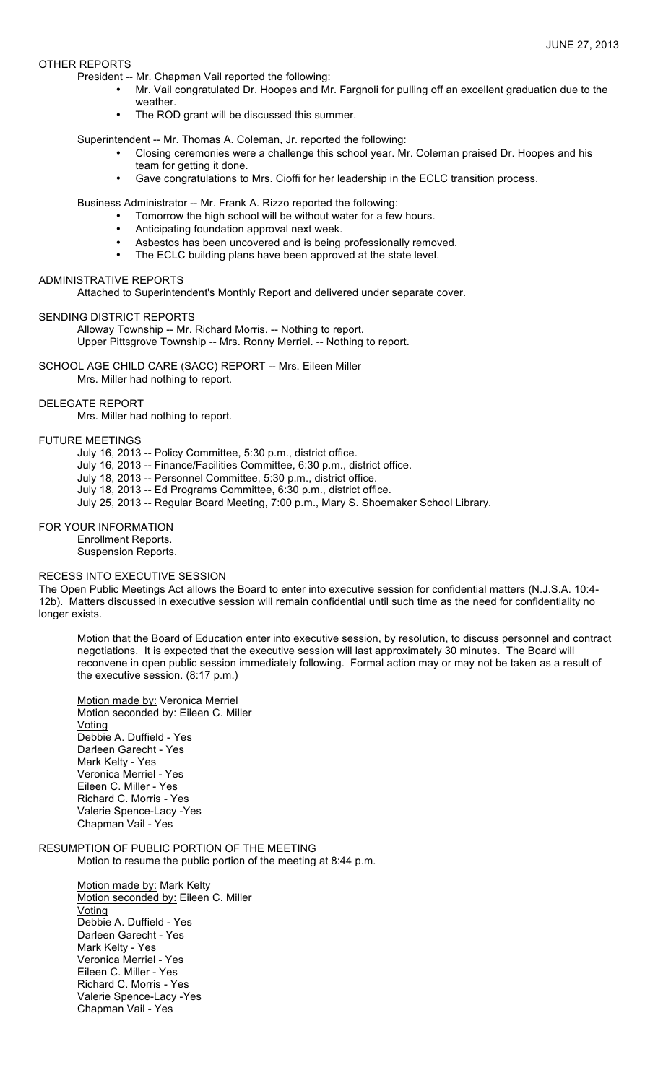# OTHER REPORTS

President -- Mr. Chapman Vail reported the following:

- Mr. Vail congratulated Dr. Hoopes and Mr. Fargnoli for pulling off an excellent graduation due to the weather.
- The ROD grant will be discussed this summer.

Superintendent -- Mr. Thomas A. Coleman, Jr. reported the following:

- Closing ceremonies were a challenge this school year. Mr. Coleman praised Dr. Hoopes and his team for getting it done.
- Gave congratulations to Mrs. Cioffi for her leadership in the ECLC transition process.

Business Administrator -- Mr. Frank A. Rizzo reported the following:

- Tomorrow the high school will be without water for a few hours.
- Anticipating foundation approval next week.
- Asbestos has been uncovered and is being professionally removed.
- The ECLC building plans have been approved at the state level.

#### ADMINISTRATIVE REPORTS

Attached to Superintendent's Monthly Report and delivered under separate cover.

#### SENDING DISTRICT REPORTS

Alloway Township -- Mr. Richard Morris. -- Nothing to report. Upper Pittsgrove Township -- Mrs. Ronny Merriel. -- Nothing to report.

SCHOOL AGE CHILD CARE (SACC) REPORT -- Mrs. Eileen Miller Mrs. Miller had nothing to report.

#### DELEGATE REPORT

Mrs. Miller had nothing to report.

#### FUTURE MEETINGS

- July 16, 2013 -- Policy Committee, 5:30 p.m., district office.
- July 16, 2013 -- Finance/Facilities Committee, 6:30 p.m., district office.
- July 18, 2013 -- Personnel Committee, 5:30 p.m., district office.
- July 18, 2013 -- Ed Programs Committee, 6:30 p.m., district office.
- July 25, 2013 -- Regular Board Meeting, 7:00 p.m., Mary S. Shoemaker School Library.

# FOR YOUR INFORMATION

Enrollment Reports. Suspension Reports.

# RECESS INTO EXECUTIVE SESSION

The Open Public Meetings Act allows the Board to enter into executive session for confidential matters (N.J.S.A. 10:4- 12b). Matters discussed in executive session will remain confidential until such time as the need for confidentiality no longer exists.

Motion that the Board of Education enter into executive session, by resolution, to discuss personnel and contract negotiations. It is expected that the executive session will last approximately 30 minutes. The Board will reconvene in open public session immediately following. Formal action may or may not be taken as a result of the executive session. (8:17 p.m.)

Motion made by: Veronica Merriel Motion seconded by: Eileen C. Miller **Voting** Debbie A. Duffield - Yes Darleen Garecht - Yes Mark Kelty - Yes Veronica Merriel - Yes Eileen C. Miller - Yes Richard C. Morris - Yes Valerie Spence-Lacy -Yes Chapman Vail - Yes

# RESUMPTION OF PUBLIC PORTION OF THE MEETING

Motion to resume the public portion of the meeting at 8:44 p.m.

Motion made by: Mark Kelty Motion seconded by: Eileen C. Miller Voting Debbie A. Duffield - Yes Darleen Garecht - Yes Mark Kelty - Yes Veronica Merriel - Yes Eileen C. Miller - Yes Richard C. Morris - Yes Valerie Spence-Lacy -Yes Chapman Vail - Yes